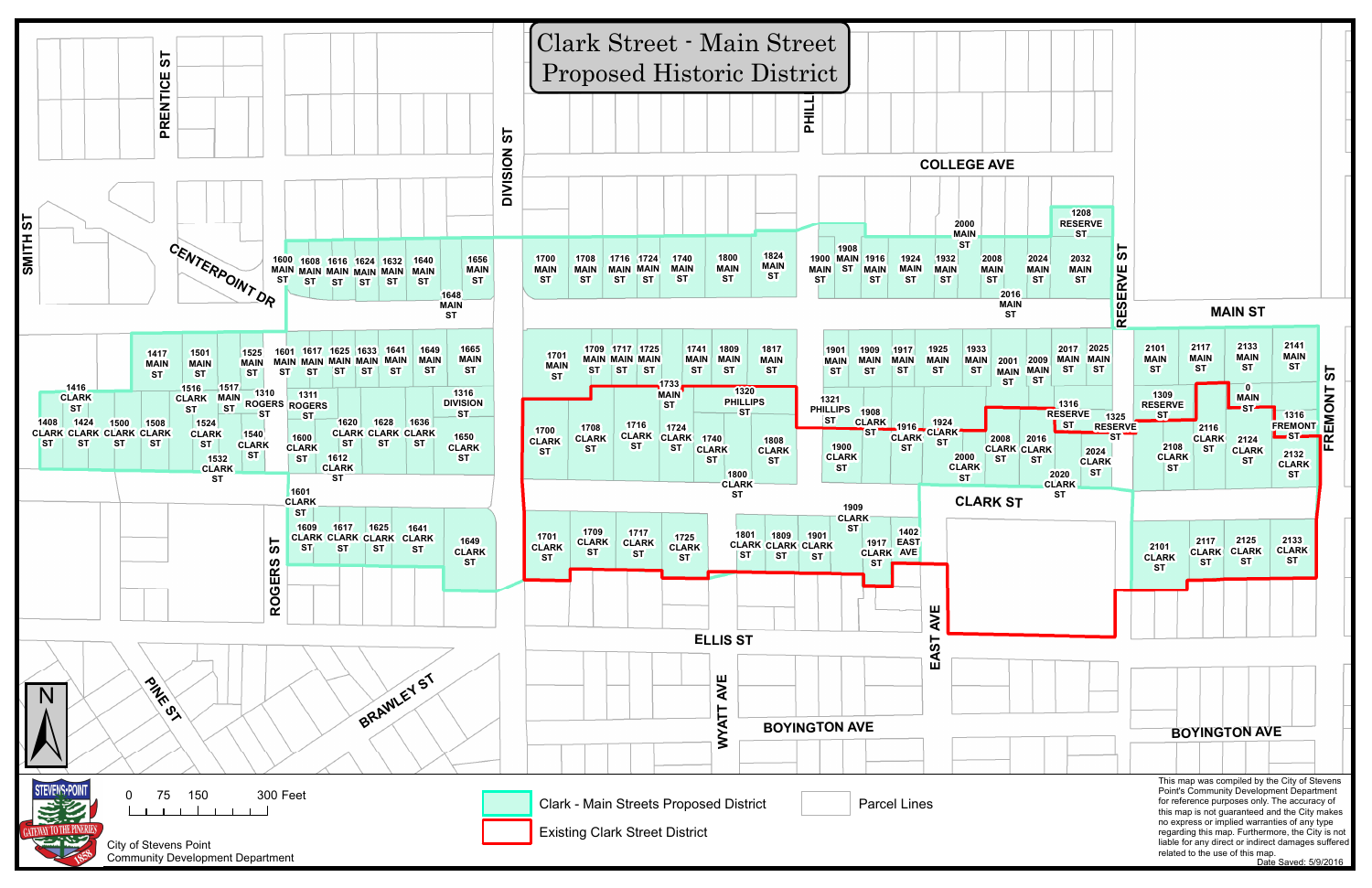